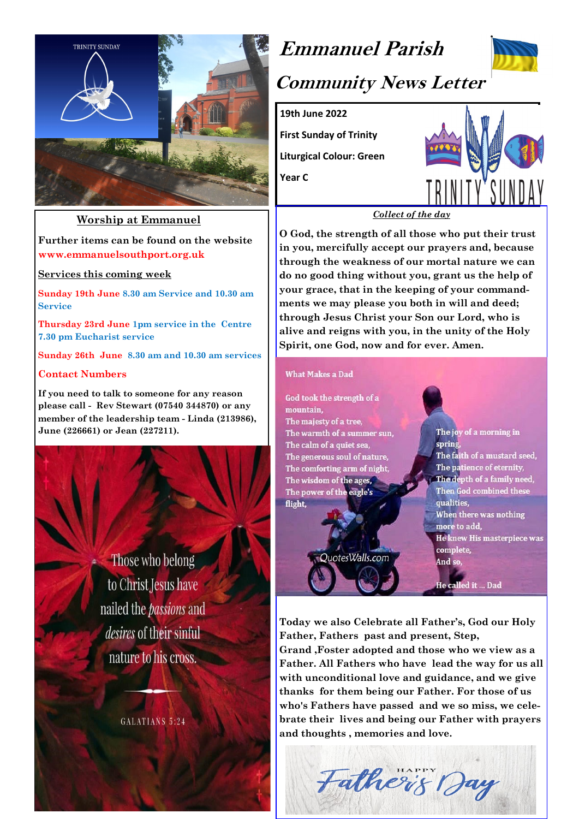

### **Worship at Emmanuel**

**Further items can be found on the website www.emmanuelsouthport.org.uk**

**Services this coming week**

**Sunday 19th June 8.30 am Service and 10.30 am Service** 

**Thursday 23rd June 1pm service in the Centre 7.30 pm Eucharist service**

**Sunday 26th June 8.30 am and 10.30 am services** 

#### **Contact Numbers**

**If you need to talk to someone for any reason please call - Rev Stewart (07540 344870) or any member of the leadership team - Linda (213986), June (226661) or Jean (227211).**

> Those who belong to Christ Jesus have nailed the *passions* and *desires* of their sinful nature to his cross.

> > GALATIANS 5:24

# **Emmanuel Parish**



# **Community News Letter**

**19th June 2022**

**First Sunday of Trinity Liturgical Colour: Green**

**Year C**



#### *Collect of the day*

**O God, the strength of all those who put their trust in you, mercifully accept our prayers and, because through the weakness of our mortal nature we can do no good thing without you, grant us the help of your grace, that in the keeping of your commandments we may please you both in will and deed; through Jesus Christ your Son our Lord, who is alive and reigns with you, in the unity of the Holy Spirit, one God, now and for ever. Amen.** 

#### **What Makes a Dad**

God took the strength of a mountain, The majesty of a tree, The warmth of a summer sun, The calm of a quiet sea. The generous soul of nature, The comforting arm of night, The wisdom of the ages, The power of the eagle's flight,

QuotesWalls.com

The joy of a morning in spring The faith of a mustard seed, The patience of eternity, The depth of a family need, Then God combined these qualities, When there was nothing more to add, **He knew His masterpiece was** complete, And so,

He called it ... Dad

**Today we also Celebrate all Father's, God our Holy Father, Fathers past and present, Step,** 

**Grand ,Foster adopted and those who we view as a Father. All Fathers who have lead the way for us all with unconditional love and guidance, and we give thanks for them being our Father. For those of us who's Fathers have passed and we so miss, we celebrate their lives and being our Father with prayers and thoughts , memories and love.**